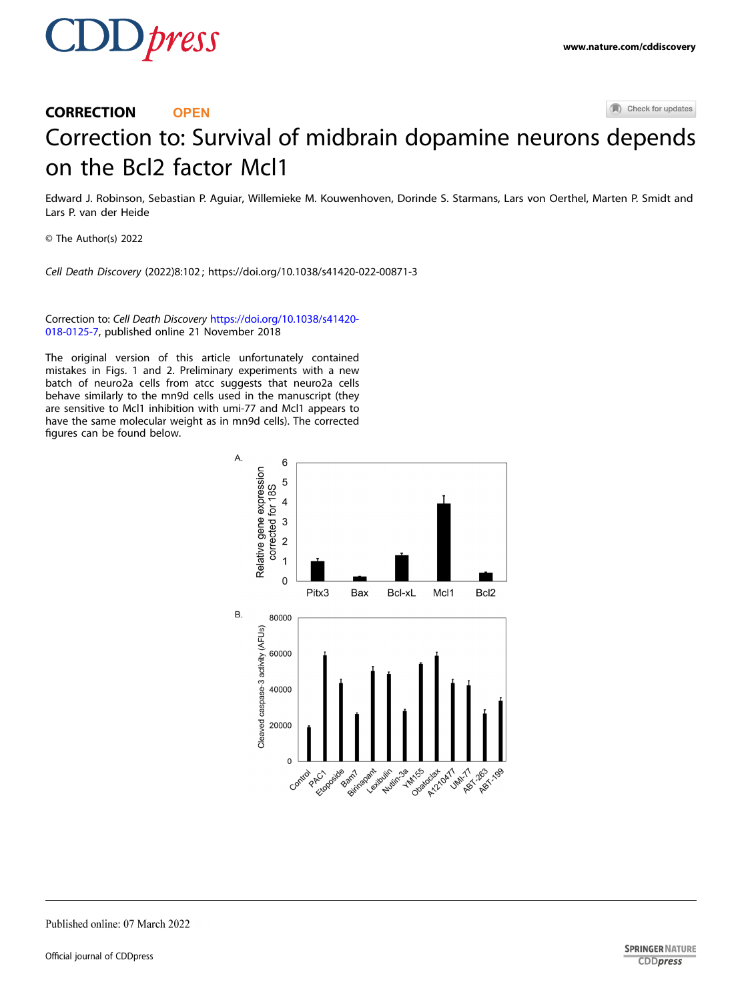

## (A) Check for updates CORRECTION **OPEN** Correction to: Survival of midbrain dopamine neurons [d](http://crossmark.crossref.org/dialog/?doi=10.1038/s41420-022-00871-3&domain=pdf)epends on the Bcl2 factor Mcl1

Edward J. Robinson, Sebastian P. Aguiar, Willemieke M. Kouwenhoven, Dorinde S. Starmans, Lars von Oerthel, Marten P. Smidt and Lars P. van der Heide

© The Author(s) 2022

Cell Death Discovery (2022) 8:102 ; https://doi.org/[10.1038/s41420-022-00871-3](https://doi.org/10.1038/s41420-022-00871-3)

Correction to: Cell Death Discovery [https://doi.org/10.1038/s41420-](https://doi.org/10.1038/s41420-018-0125-7) [018-0125-7,](https://doi.org/10.1038/s41420-018-0125-7) published online 21 November 2018

The original version of this article unfortunately contained mistakes in Figs. 1 and 2. Preliminary experiments with a new batch of neuro2a cells from atcc suggests that neuro2a cells behave similarly to the mn9d cells used in the manuscript (they are sensitive to Mcl1 inhibition with umi-77 and Mcl1 appears to have the same molecular weight as in mn9d cells). The corrected figures can be found below.



Published online: 07 March 2022